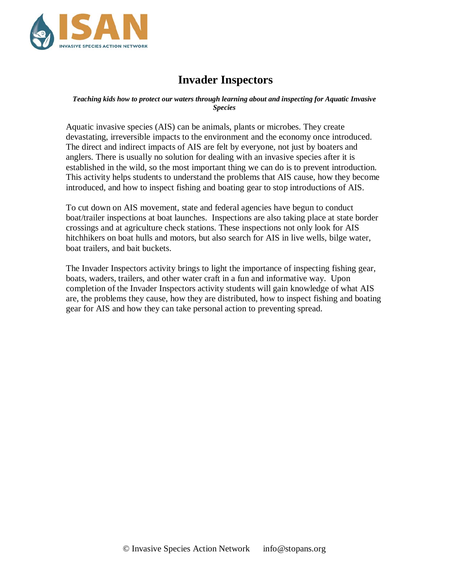

# **Invader Inspectors**

#### *Teaching kids how to protect our waters through learning about and inspecting for Aquatic Invasive Species*

Aquatic invasive species (AIS) can be animals, plants or microbes. They create devastating, irreversible impacts to the environment and the economy once introduced. The direct and indirect impacts of AIS are felt by everyone, not just by boaters and anglers. There is usually no solution for dealing with an invasive species after it is established in the wild, so the most important thing we can do is to prevent introduction. This activity helps students to understand the problems that AIS cause, how they become introduced, and how to inspect fishing and boating gear to stop introductions of AIS.

To cut down on AIS movement, state and federal agencies have begun to conduct boat/trailer inspections at boat launches. Inspections are also taking place at state border crossings and at agriculture check stations. These inspections not only look for AIS hitchhikers on boat hulls and motors, but also search for AIS in live wells, bilge water, boat trailers, and bait buckets.

The Invader Inspectors activity brings to light the importance of inspecting fishing gear, boats, waders, trailers, and other water craft in a fun and informative way. Upon completion of the Invader Inspectors activity students will gain knowledge of what AIS are, the problems they cause, how they are distributed, how to inspect fishing and boating gear for AIS and how they can take personal action to preventing spread.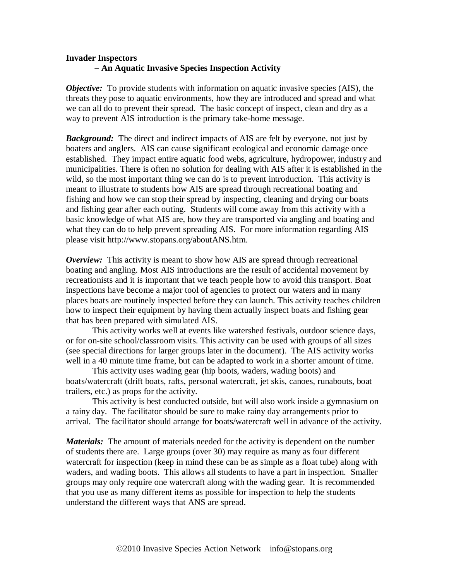# **Invader Inspectors – An Aquatic Invasive Species Inspection Activity**

*Objective:* To provide students with information on aquatic invasive species (AIS), the threats they pose to aquatic environments, how they are introduced and spread and what we can all do to prevent their spread. The basic concept of inspect, clean and dry as a way to prevent AIS introduction is the primary take-home message.

*Background:* The direct and indirect impacts of AIS are felt by everyone, not just by boaters and anglers. AIS can cause significant ecological and economic damage once established. They impact entire aquatic food webs, agriculture, hydropower, industry and municipalities. There is often no solution for dealing with AIS after it is established in the wild, so the most important thing we can do is to prevent introduction. This activity is meant to illustrate to students how AIS are spread through recreational boating and fishing and how we can stop their spread by inspecting, cleaning and drying our boats and fishing gear after each outing. Students will come away from this activity with a basic knowledge of what AIS are, how they are transported via angling and boating and what they can do to help prevent spreading AIS. For more information regarding AIS please visit http://www.stopans.org/aboutANS.htm.

*Overview:* This activity is meant to show how AIS are spread through recreational boating and angling. Most AIS introductions are the result of accidental movement by recreationists and it is important that we teach people how to avoid this transport. Boat inspections have become a major tool of agencies to protect our waters and in many places boats are routinely inspected before they can launch. This activity teaches children how to inspect their equipment by having them actually inspect boats and fishing gear that has been prepared with simulated AIS.

This activity works well at events like watershed festivals, outdoor science days, or for on-site school/classroom visits. This activity can be used with groups of all sizes (see special directions for larger groups later in the document). The AIS activity works well in a 40 minute time frame, but can be adapted to work in a shorter amount of time.

This activity uses wading gear (hip boots, waders, wading boots) and boats/watercraft (drift boats, rafts, personal watercraft, jet skis, canoes, runabouts, boat trailers, etc.) as props for the activity.

This activity is best conducted outside, but will also work inside a gymnasium on a rainy day. The facilitator should be sure to make rainy day arrangements prior to arrival. The facilitator should arrange for boats/watercraft well in advance of the activity.

*Materials:* The amount of materials needed for the activity is dependent on the number of students there are. Large groups (over 30) may require as many as four different watercraft for inspection (keep in mind these can be as simple as a float tube) along with waders, and wading boots. This allows all students to have a part in inspection. Smaller groups may only require one watercraft along with the wading gear. It is recommended that you use as many different items as possible for inspection to help the students understand the different ways that ANS are spread.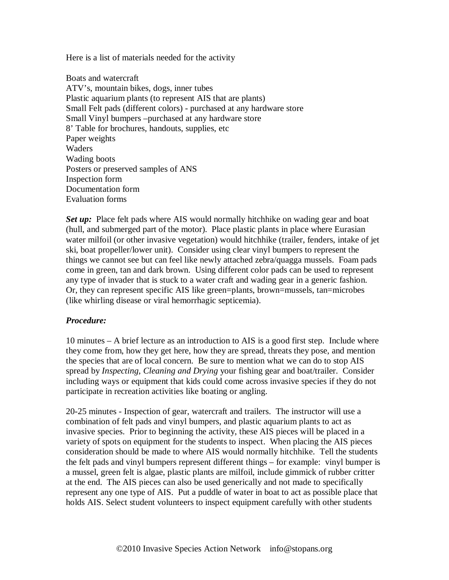Here is a list of materials needed for the activity

Boats and watercraft ATV's, mountain bikes, dogs, inner tubes Plastic aquarium plants (to represent AIS that are plants) Small Felt pads (different colors) - purchased at any hardware store Small Vinyl bumpers –purchased at any hardware store 8' Table for brochures, handouts, supplies, etc Paper weights Waders Wading boots Posters or preserved samples of ANS Inspection form Documentation form Evaluation forms

*Set up:* Place felt pads where AIS would normally hitchhike on wading gear and boat (hull, and submerged part of the motor). Place plastic plants in place where Eurasian water milfoil (or other invasive vegetation) would hitchhike (trailer, fenders, intake of jet ski, boat propeller/lower unit). Consider using clear vinyl bumpers to represent the things we cannot see but can feel like newly attached zebra/quagga mussels. Foam pads come in green, tan and dark brown. Using different color pads can be used to represent any type of invader that is stuck to a water craft and wading gear in a generic fashion. Or, they can represent specific AIS like green=plants, brown=mussels, tan=microbes (like whirling disease or viral hemorrhagic septicemia).

# *Procedure:*

10 minutes – A brief lecture as an introduction to AIS is a good first step. Include where they come from, how they get here, how they are spread, threats they pose, and mention the species that are of local concern. Be sure to mention what we can do to stop AIS spread by *Inspecting, Cleaning and Drying* your fishing gear and boat/trailer. Consider including ways or equipment that kids could come across invasive species if they do not participate in recreation activities like boating or angling.

20-25 minutes - Inspection of gear, watercraft and trailers. The instructor will use a combination of felt pads and vinyl bumpers, and plastic aquarium plants to act as invasive species. Prior to beginning the activity, these AIS pieces will be placed in a variety of spots on equipment for the students to inspect. When placing the AIS pieces consideration should be made to where AIS would normally hitchhike. Tell the students the felt pads and vinyl bumpers represent different things – for example: vinyl bumper is a mussel, green felt is algae, plastic plants are milfoil, include gimmick of rubber critter at the end. The AIS pieces can also be used generically and not made to specifically represent any one type of AIS. Put a puddle of water in boat to act as possible place that holds AIS. Select student volunteers to inspect equipment carefully with other students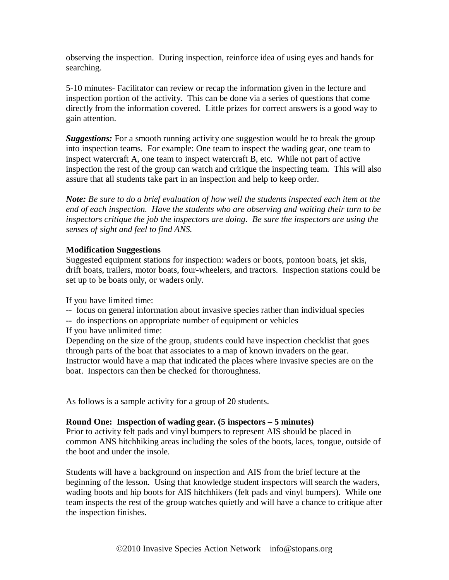observing the inspection. During inspection, reinforce idea of using eyes and hands for searching.

5-10 minutes- Facilitator can review or recap the information given in the lecture and inspection portion of the activity. This can be done via a series of questions that come directly from the information covered. Little prizes for correct answers is a good way to gain attention.

*Suggestions:* For a smooth running activity one suggestion would be to break the group into inspection teams. For example: One team to inspect the wading gear, one team to inspect watercraft A, one team to inspect watercraft B, etc. While not part of active inspection the rest of the group can watch and critique the inspecting team. This will also assure that all students take part in an inspection and help to keep order.

*Note: Be sure to do a brief evaluation of how well the students inspected each item at the end of each inspection. Have the students who are observing and waiting their turn to be inspectors critique the job the inspectors are doing. Be sure the inspectors are using the senses of sight and feel to find ANS.* 

# **Modification Suggestions**

Suggested equipment stations for inspection: waders or boots, pontoon boats, jet skis, drift boats, trailers, motor boats, four-wheelers, and tractors. Inspection stations could be set up to be boats only, or waders only.

If you have limited time:

-- focus on general information about invasive species rather than individual species

-- do inspections on appropriate number of equipment or vehicles

If you have unlimited time:

Depending on the size of the group, students could have inspection checklist that goes through parts of the boat that associates to a map of known invaders on the gear. Instructor would have a map that indicated the places where invasive species are on the boat. Inspectors can then be checked for thoroughness.

As follows is a sample activity for a group of 20 students.

# **Round One: Inspection of wading gear. (5 inspectors – 5 minutes)**

Prior to activity felt pads and vinyl bumpers to represent AIS should be placed in common ANS hitchhiking areas including the soles of the boots, laces, tongue, outside of the boot and under the insole.

Students will have a background on inspection and AIS from the brief lecture at the beginning of the lesson. Using that knowledge student inspectors will search the waders, wading boots and hip boots for AIS hitchhikers (felt pads and vinyl bumpers). While one team inspects the rest of the group watches quietly and will have a chance to critique after the inspection finishes.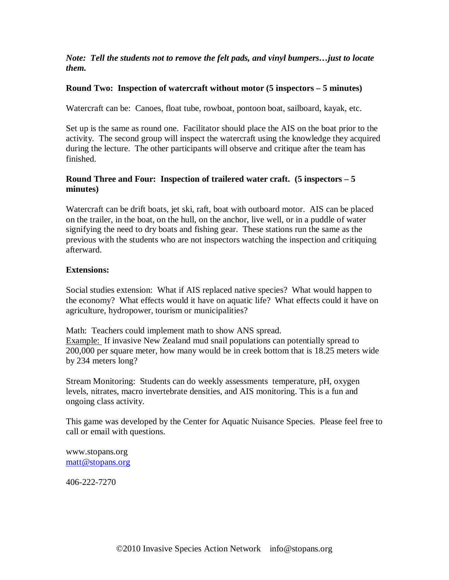*Note: Tell the students not to remove the felt pads, and vinyl bumpers…just to locate them.*

#### **Round Two: Inspection of watercraft without motor (5 inspectors – 5 minutes)**

Watercraft can be: Canoes, float tube, rowboat, pontoon boat, sailboard, kayak, etc.

Set up is the same as round one. Facilitator should place the AIS on the boat prior to the activity. The second group will inspect the watercraft using the knowledge they acquired during the lecture. The other participants will observe and critique after the team has finished.

# **Round Three and Four: Inspection of trailered water craft. (5 inspectors – 5 minutes)**

Watercraft can be drift boats, jet ski, raft, boat with outboard motor. AIS can be placed on the trailer, in the boat, on the hull, on the anchor, live well, or in a puddle of water signifying the need to dry boats and fishing gear. These stations run the same as the previous with the students who are not inspectors watching the inspection and critiquing afterward.

#### **Extensions:**

Social studies extension: What if AIS replaced native species? What would happen to the economy? What effects would it have on aquatic life? What effects could it have on agriculture, hydropower, tourism or municipalities?

Math: Teachers could implement math to show ANS spread. Example: If invasive New Zealand mud snail populations can potentially spread to 200,000 per square meter, how many would be in creek bottom that is 18.25 meters wide by 234 meters long?

Stream Monitoring: Students can do weekly assessments temperature, pH, oxygen levels, nitrates, macro invertebrate densities, and AIS monitoring. This is a fun and ongoing class activity.

This game was developed by the Center for Aquatic Nuisance Species. Please feel free to call or email with questions.

www.stopans.org [matt@stopans.org](mailto:matt@stopans.org)

406-222-7270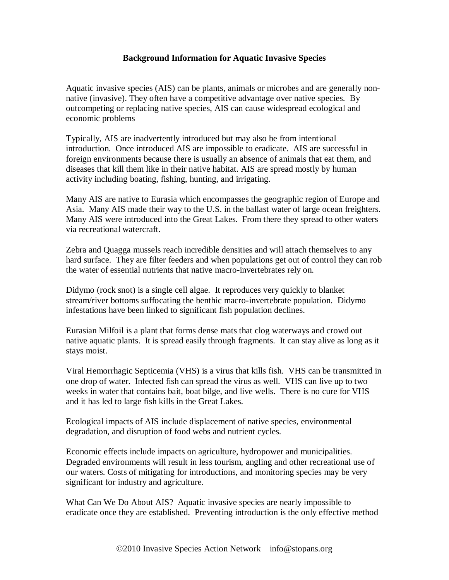# **Background Information for Aquatic Invasive Species**

Aquatic invasive species (AIS) can be plants, animals or microbes and are generally nonnative (invasive). They often have a competitive advantage over native species. By outcompeting or replacing native species, AIS can cause widespread ecological and economic problems

Typically, AIS are inadvertently introduced but may also be from intentional introduction. Once introduced AIS are impossible to eradicate. AIS are successful in foreign environments because there is usually an absence of animals that eat them, and diseases that kill them like in their native habitat. AIS are spread mostly by human activity including boating, fishing, hunting, and irrigating.

Many AIS are native to Eurasia which encompasses the geographic region of Europe and Asia. Many AIS made their way to the U.S. in the ballast water of large ocean freighters. Many AIS were introduced into the Great Lakes. From there they spread to other waters via recreational watercraft.

Zebra and Quagga mussels reach incredible densities and will attach themselves to any hard surface. They are filter feeders and when populations get out of control they can rob the water of essential nutrients that native macro-invertebrates rely on.

Didymo (rock snot) is a single cell algae. It reproduces very quickly to blanket stream/river bottoms suffocating the benthic macro-invertebrate population. Didymo infestations have been linked to significant fish population declines.

Eurasian Milfoil is a plant that forms dense mats that clog waterways and crowd out native aquatic plants. It is spread easily through fragments. It can stay alive as long as it stays moist.

Viral Hemorrhagic Septicemia (VHS) is a virus that kills fish. VHS can be transmitted in one drop of water. Infected fish can spread the virus as well. VHS can live up to two weeks in water that contains bait, boat bilge, and live wells. There is no cure for VHS and it has led to large fish kills in the Great Lakes.

Ecological impacts of AIS include displacement of native species, environmental degradation, and disruption of food webs and nutrient cycles.

Economic effects include impacts on agriculture, hydropower and municipalities. Degraded environments will result in less tourism, angling and other recreational use of our waters. Costs of mitigating for introductions, and monitoring species may be very significant for industry and agriculture.

What Can We Do About AIS? Aquatic invasive species are nearly impossible to eradicate once they are established. Preventing introduction is the only effective method